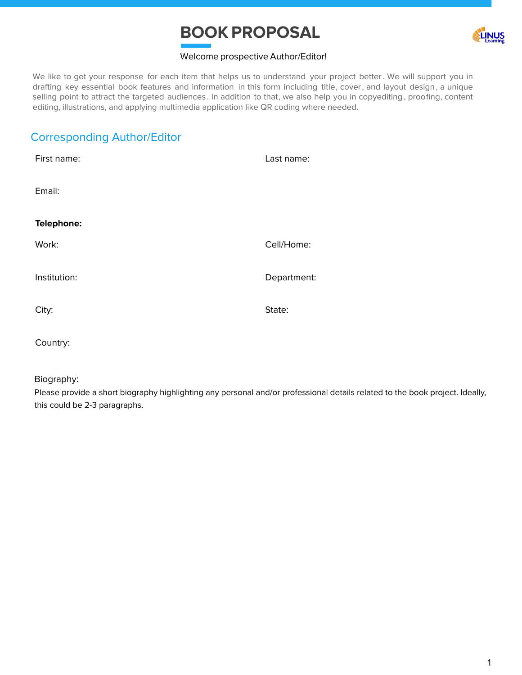# **BOOK PROPOSAL**



#### Welcome prospective Author/Editor!

We like to get your response for each item that helps us to understand your project better. We will support you in drafting key essential book features and information in this form including title, cover, and layout design , a unique selling point to attract the targeted audiences . In addition to that, we also help you in copyediting , proofing, content editing, illustrations, and applying multimedia application like QR coding where needed.

# Corresponding Author/Editor

| First name:  | Last name:  |
|--------------|-------------|
| Email:       |             |
| Telephone:   |             |
| Work:        | Cell/Home:  |
| Institution: | Department: |
| City:        | State:      |
|              |             |

Country:

#### Biography:

Please provide a short biography highlighting any personal and/or professional details related to the book project. Ideally, this could be 2-3 paragraphs.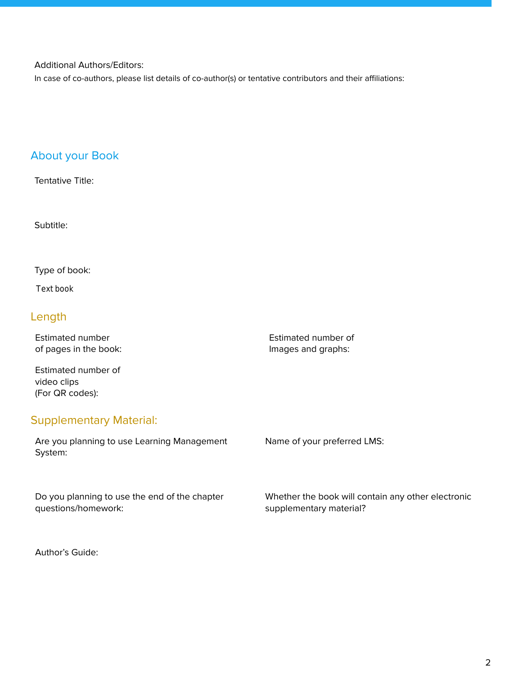#### Additional Authors/Editors:

In case of co-authors, please list details of co-author(s) or tentative contributors and their affiliations:

## About your Book

Tentative Title:

Subtitle:

Type of book:

Text book

## Length

Estimated number of pages in the book: Estimated number of Images and graphs:

Estimated number of video clips (For QR codes):

#### Supplementary Material:

Are you planning to use Learning Management System: Name of your preferred LMS:

Do you planning to use the end of the chapter questions/homework: Whether the book will contain any other electronic supplementary material?

Author's Guide: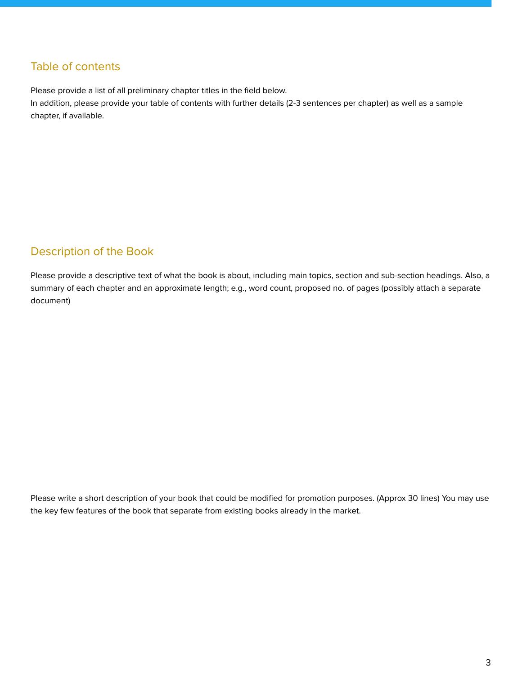## Table of contents

Please provide a list of all preliminary chapter titles in the field below.

In addition, please provide your table of contents with further details (2-3 sentences per chapter) as well as a sample chapter, if available.

## Description of the Book

Please provide a descriptive text of what the book is about, including main topics, section and sub-section headings. Also, a summary of each chapter and an approximate length; e.g., word count, proposed no. of pages (possibly attach a separate document)

Please write a short description of your book that could be modified for promotion purposes. (Approx 30 lines) You may use the key few features of the book that separate from existing books already in the market.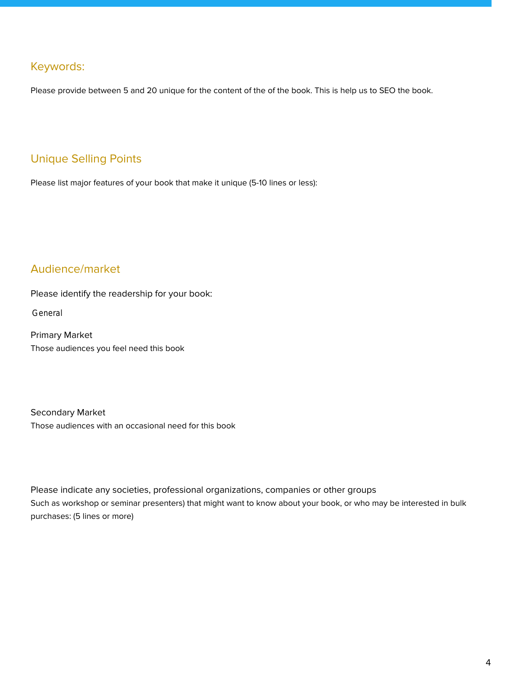#### Keywords:

Please provide between 5 and 20 unique for the content of the of the book. This is help us to SEO the book.

# Unique Selling Points

Please list major features of your book that make it unique (5-10 lines or less):

## Audience/market

Please identify the readership for your book:

General

Primary Market Those audiences you feel need this book

Secondary Market Those audiences with an occasional need for this book

Please indicate any societies, professional organizations, companies or other groups Such as workshop or seminar presenters) that might want to know about your book, or who may be interested in bulk purchases: (5 lines or more)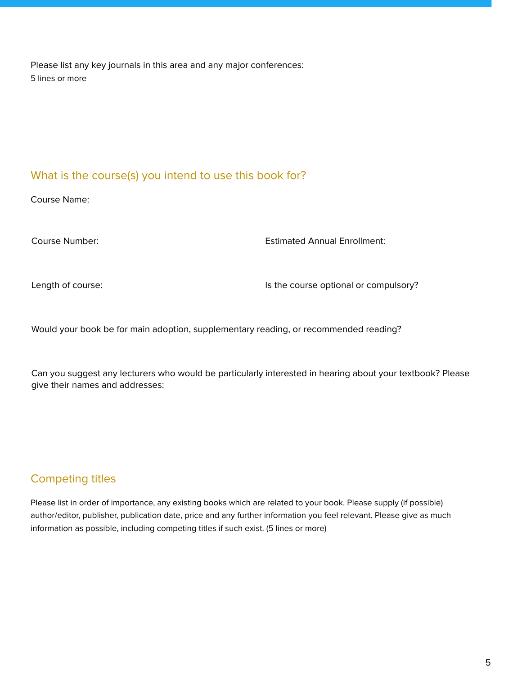Please list any key journals in this area and any major conferences: 5 lines or more

## What is the course(s) you intend to use this book for?

Course Name:

Course Number: Estimated Annual Enrollment:

Length of course:  $\blacksquare$  Is the course optional or compulsory?

Would your book be for main adoption, supplementary reading, or recommended reading?

Can you suggest any lecturers who would be particularly interested in hearing about your textbook? Please give their names and addresses:

# Competing titles

Please list in order of importance, any existing books which are related to your book. Please supply (if possible) author/editor, publisher, publication date, price and any further information you feel relevant. Please give as much information as possible, including competing titles if such exist. (5 lines or more)